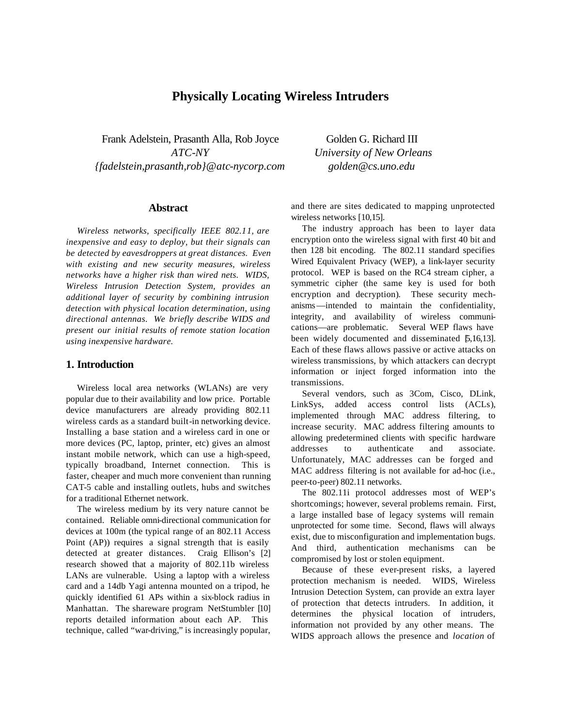# **Physically Locating Wireless Intruders**

Frank Adelstein, Prasanth Alla, Rob Joyce Golden G. Richard III *{fadelstein,prasanth,rob}@atc-nycorp.com golden@cs.uno.edu*

### **Abstract**

*Wireless networks, specifically IEEE 802.11, are inexpensive and easy to deploy, but their signals can be detected by eavesdroppers at great distances. Even with existing and new security measures, wireless networks have a higher risk than wired nets. WIDS, Wireless Intrusion Detection System, provides an additional layer of security by combining intrusion detection with physical location determination, using directional antennas. We briefly describe WIDS and present our initial results of remote station location using inexpensive hardware.*

## **1. Introduction**

Wireless local area networks (WLANs) are very popular due to their availability and low price. Portable device manufacturers are already providing 802.11 wireless cards as a standard built-in networking device. Installing a base station and a wireless card in one or more devices (PC, laptop, printer, etc) gives an almost instant mobile network, which can use a high-speed, typically broadband, Internet connection. This is faster, cheaper and much more convenient than running CAT-5 cable and installing outlets, hubs and switches for a traditional Ethernet network.

The wireless medium by its very nature cannot be contained. Reliable omni-directional communication for devices at 100m (the typical range of an 802.11 Access Point (AP)) requires a signal strength that is easily detected at greater distances. Craig Ellison's [2] research showed that a majority of 802.11b wireless LANs are vulnerable. Using a laptop with a wireless card and a 14db Yagi antenna mounted on a tripod, he quickly identified 61 APs within a six-block radius in Manhattan. The shareware program NetStumbler [10] reports detailed information about each AP. This technique, called "war-driving," is increasingly popular,

*ATC-NY University of New Orleans*

and there are sites dedicated to mapping unprotected wireless networks [10,15].

The industry approach has been to layer data encryption onto the wireless signal with first 40 bit and then 128 bit encoding. The 802.11 standard specifies Wired Equivalent Privacy (WEP), a link-layer security protocol. WEP is based on the RC4 stream cipher, a symmetric cipher (the same key is used for both encryption and decryption). These security mechanisms—intended to maintain the confidentiality, integrity, and availability of wireless communications—are problematic. Several WEP flaws have been widely documented and disseminated [5,16,13]. Each of these flaws allows passive or active attacks on wireless transmissions, by which attackers can decrypt information or inject forged information into the transmissions.

Several vendors, such as 3Com, Cisco, DLink, LinkSys, added access control lists (ACLs), implemented through MAC address filtering, to increase security. MAC address filtering amounts to allowing predetermined clients with specific hardware addresses to authenticate and associate. Unfortunately, MAC addresses can be forged and MAC address filtering is not available for ad-hoc (i.e., peer-to-peer) 802.11 networks.

The 802.11i protocol addresses most of WEP's shortcomings; however, several problems remain. First, a large installed base of legacy systems will remain unprotected for some time. Second, flaws will always exist, due to misconfiguration and implementation bugs. And third, authentication mechanisms can be compromised by lost or stolen equipment.

Because of these ever-present risks, a layered protection mechanism is needed. WIDS, Wireless Intrusion Detection System, can provide an extra layer of protection that detects intruders. In addition, it determines the physical location of intruders, information not provided by any other means. The WIDS approach allows the presence and *location* of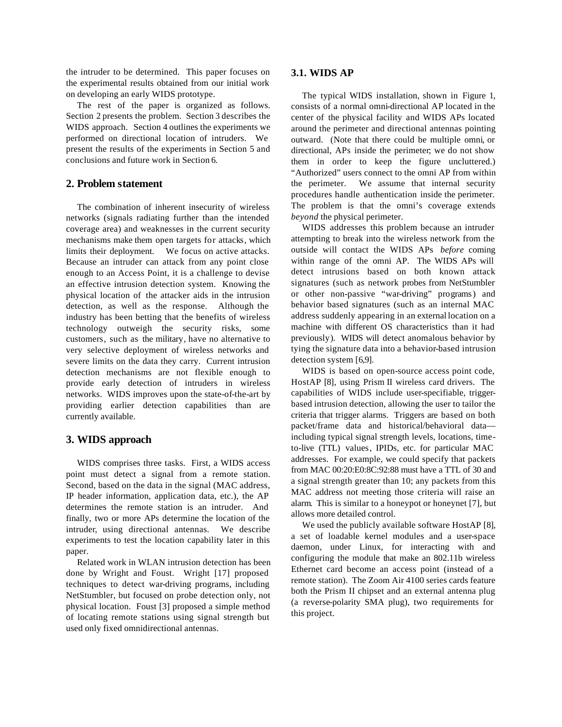the intruder to be determined. This paper focuses on the experimental results obtained from our initial work on developing an early WIDS prototype.

The rest of the paper is organized as follows. Section 2 presents the problem. Section 3 describes the WIDS approach. Section 4 outlines the experiments we performed on directional location of intruders. We present the results of the experiments in Section 5 and conclusions and future work in Section 6.

## **2. Problem statement**

The combination of inherent insecurity of wireless networks (signals radiating further than the intended coverage area) and weaknesses in the current security mechanisms make them open targets for attacks, which limits their deployment. We focus on active attacks. Because an intruder can attack from any point close enough to an Access Point, it is a challenge to devise an effective intrusion detection system. Knowing the physical location of the attacker aids in the intrusion detection, as well as the response. Although the industry has been betting that the benefits of wireless technology outweigh the security risks, some customers, such as the military, have no alternative to very selective deployment of wireless networks and severe limits on the data they carry. Current intrusion detection mechanisms are not flexible enough to provide early detection of intruders in wireless networks. WIDS improves upon the state-of-the-art by providing earlier detection capabilities than are currently available.

## **3. WIDS approach**

WIDS comprises three tasks. First, a WIDS access point must detect a signal from a remote station. Second, based on the data in the signal (MAC address, IP header information, application data, etc.), the AP determines the remote station is an intruder. And finally, two or more APs determine the location of the intruder, using directional antennas. We describe experiments to test the location capability later in this paper.

Related work in WLAN intrusion detection has been done by Wright and Foust. Wright [17] proposed techniques to detect war-driving programs, including NetStumbler, but focused on probe detection only, not physical location. Foust [3] proposed a simple method of locating remote stations using signal strength but used only fixed omnidirectional antennas.

#### **3.1. WIDS AP**

The typical WIDS installation, shown in Figure 1, consists of a normal omni-directional AP located in the center of the physical facility and WIDS APs located around the perimeter and directional antennas pointing outward. (Note that there could be multiple omni, or directional, APs inside the perimeter; we do not show them in order to keep the figure uncluttered.) "Authorized" users connect to the omni AP from within the perimeter. We assume that internal security procedures handle authentication inside the perimeter. The problem is that the omni's coverage extends *beyond* the physical perimeter.

WIDS addresses this problem because an intruder attempting to break into the wireless network from the outside will contact the WIDS APs *before* coming within range of the omni AP. The WIDS APs will detect intrusions based on both known attack signatures (such as network probes from NetStumbler or other non-passive "war-driving" programs) and behavior based signatures (such as an internal MAC address suddenly appearing in an external location on a machine with different OS characteristics than it had previously). WIDS will detect anomalous behavior by tying the signature data into a behavior-based intrusion detection system [6,9].

WIDS is based on open-source access point code, HostAP [8], using Prism II wireless card drivers. The capabilities of WIDS include user-specifiable, triggerbased intrusion detection, allowing the user to tailor the criteria that trigger alarms. Triggers are based on both packet/frame data and historical/behavioral data including typical signal strength levels, locations, timeto-live (TTL) values, IPIDs, etc. for particular MAC addresses. For example, we could specify that packets from MAC 00:20:E0:8C:92:88 must have a TTL of 30 and a signal strength greater than 10; any packets from this MAC address not meeting those criteria will raise an alarm. This is similar to a honeypot or honeynet [7], but allows more detailed control.

We used the publicly available software HostAP [8], a set of loadable kernel modules and a user-space daemon, under Linux, for interacting with and configuring the module that make an 802.11b wireless Ethernet card become an access point (instead of a remote station). The Zoom Air 4100 series cards feature both the Prism II chipset and an external antenna plug (a reverse-polarity SMA plug), two requirements for this project.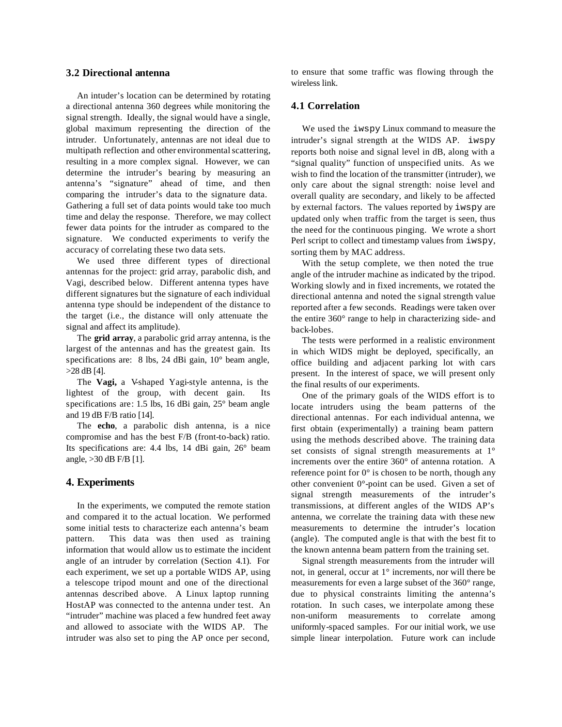## **3.2 Directional antenna**

An intuder's location can be determined by rotating a directional antenna 360 degrees while monitoring the signal strength. Ideally, the signal would have a single, global maximum representing the direction of the intruder. Unfortunately, antennas are not ideal due to multipath reflection and other environmental scattering, resulting in a more complex signal. However, we can determine the intruder's bearing by measuring an antenna's "signature" ahead of time, and then comparing the intruder's data to the signature data. Gathering a full set of data points would take too much time and delay the response. Therefore, we may collect fewer data points for the intruder as compared to the signature. We conducted experiments to verify the accuracy of correlating these two data sets.

We used three different types of directional antennas for the project: grid array, parabolic dish, and Vagi, described below. Different antenna types have different signatures but the signature of each individual antenna type should be independent of the distance to the target (i.e., the distance will only attenuate the signal and affect its amplitude).

The **grid array**, a parabolic grid array antenna, is the largest of the antennas and has the greatest gain. Its specifications are: 8 lbs, 24 dBi gain, 10° beam angle, >28 dB [4].

The **Vagi,** a V-shaped Yagi-style antenna, is the lightest of the group, with decent gain. Its specifications are: 1.5 lbs, 16 dBi gain, 25° beam angle and 19 dB F/B ratio [14].

The **echo**, a parabolic dish antenna, is a nice compromise and has the best F/B (front-to-back) ratio. Its specifications are: 4.4 lbs, 14 dBi gain, 26° beam angle, >30 dB F/B [1].

#### **4. Experiments**

In the experiments, we computed the remote station and compared it to the actual location. We performed some initial tests to characterize each antenna's beam pattern. This data was then used as training information that would allow us to estimate the incident angle of an intruder by correlation (Section 4.1). For each experiment, we set up a portable WIDS AP, using a telescope tripod mount and one of the directional antennas described above. A Linux laptop running HostAP was connected to the antenna under test. An "intruder" machine was placed a few hundred feet away and allowed to associate with the WIDS AP. The intruder was also set to ping the AP once per second,

to ensure that some traffic was flowing through the wireless link.

### **4.1 Correlation**

We used the iwspy Linux command to measure the intruder's signal strength at the WIDS AP. iwspy reports both noise and signal level in dB, along with a "signal quality" function of unspecified units. As we wish to find the location of the transmitter (intruder), we only care about the signal strength: noise level and overall quality are secondary, and likely to be affected by external factors. The values reported by iwspy are updated only when traffic from the target is seen, thus the need for the continuous pinging. We wrote a short Perl script to collect and timestamp values from iwspy, sorting them by MAC address.

With the setup complete, we then noted the true angle of the intruder machine as indicated by the tripod. Working slowly and in fixed increments, we rotated the directional antenna and noted the signal strength value reported after a few seconds. Readings were taken over the entire 360° range to help in characterizing side- and back-lobes.

The tests were performed in a realistic environment in which WIDS might be deployed, specifically, an office building and adjacent parking lot with cars present. In the interest of space, we will present only the final results of our experiments.

One of the primary goals of the WIDS effort is to locate intruders using the beam patterns of the directional antennas. For each individual antenna, we first obtain (experimentally) a training beam pattern using the methods described above. The training data set consists of signal strength measurements at 1° increments over the entire 360° of antenna rotation. A reference point for 0° is chosen to be north, though any other convenient 0°-point can be used. Given a set of signal strength measurements of the intruder's transmissions, at different angles of the WIDS AP's antenna, we correlate the training data with these new measurements to determine the intruder's location (angle). The computed angle is that with the best fit to the known antenna beam pattern from the training set.

Signal strength measurements from the intruder will not, in general, occur at 1° increments, nor will there be measurements for even a large subset of the 360° range, due to physical constraints limiting the antenna's rotation. In such cases, we interpolate among these non-uniform measurements to correlate among uniformly-spaced samples. For our initial work, we use simple linear interpolation. Future work can include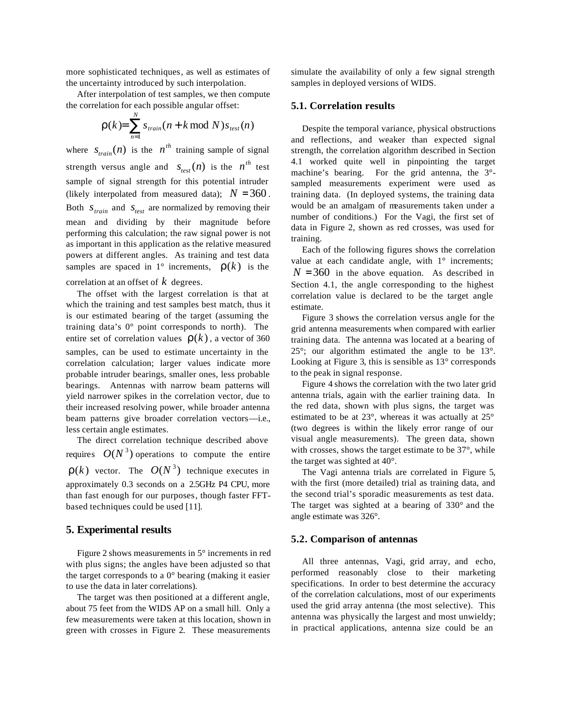more sophisticated techniques, as well as estimates of the uncertainty introduced by such interpolation.

After interpolation of test samples, we then compute the correlation for each possible angular offset:

$$
\mathbf{r}(k) = \sum_{n=1}^{N} s_{train}(n + k \bmod N) s_{test}(n)
$$

where  $s_{\text{train}}(n)$  is the  $n^{th}$  training sample of signal strength versus angle and  $s_{test}(n)$  is the  $n^{th}$  test sample of signal strength for this potential intruder (likely interpolated from measured data);  $N = 360$ . Both  $S_{train}$  and  $S_{test}$  are normalized by removing their mean and dividing by their magnitude before performing this calculation; the raw signal power is not as important in this application as the relative measured powers at different angles. As training and test data samples are spaced in  $1^{\circ}$  increments,  $r(k)$  is the correlation at an offset of *k* degrees.

The offset with the largest correlation is that at which the training and test samples best match, thus it is our estimated bearing of the target (assuming the training data's 0° point corresponds to north). The entire set of correlation values  $r(k)$ , a vector of 360 samples, can be used to estimate uncertainty in the correlation calculation; larger values indicate more probable intruder bearings, smaller ones, less probable bearings. Antennas with narrow beam patterns will yield narrower spikes in the correlation vector, due to their increased resolving power, while broader antenna beam patterns give broader correlation vectors—i.e., less certain angle estimates.

The direct correlation technique described above requires  $O(N^3)$  operations to compute the entire  $r(k)$  vector. The  $O(N^3)$  technique executes in approximately 0.3 seconds on a 2.5GHz P4 CPU, more than fast enough for our purposes, though faster FFTbased techniques could be used [11].

### **5. Experimental results**

Figure 2 shows measurements in 5° increments in red with plus signs; the angles have been adjusted so that the target corresponds to a 0° bearing (making it easier to use the data in later correlations).

The target was then positioned at a different angle, about 75 feet from the WIDS AP on a small hill. Only a few measurements were taken at this location, shown in green with crosses in Figure 2. These measurements

simulate the availability of only a few signal strength samples in deployed versions of WIDS.

#### **5.1. Correlation results**

Despite the temporal variance, physical obstructions and reflections, and weaker than expected signal strength, the correlation algorithm described in Section 4.1 worked quite well in pinpointing the target machine's bearing. For the grid antenna, the 3° sampled measurements experiment were used as training data. (In deployed systems, the training data would be an amalgam of measurements taken under a number of conditions.) For the Vagi, the first set of data in Figure 2, shown as red crosses, was used for training.

Each of the following figures shows the correlation value at each candidate angle, with  $1^\circ$  increments;  $N = 360$  in the above equation. As described in Section 4.1, the angle corresponding to the highest correlation value is declared to be the target angle estimate.

Figure 3 shows the correlation versus angle for the grid antenna measurements when compared with earlier training data. The antenna was located at a bearing of 25°; our algorithm estimated the angle to be 13°. Looking at Figure 3, this is sensible as 13° corresponds to the peak in signal response.

Figure 4 shows the correlation with the two later grid antenna trials, again with the earlier training data. In the red data, shown with plus signs, the target was estimated to be at 23°, whereas it was actually at 25° (two degrees is within the likely error range of our visual angle measurements). The green data, shown with crosses, shows the target estimate to be 37°, while the target was sighted at 40°.

The Vagi antenna trials are correlated in Figure 5, with the first (more detailed) trial as training data, and the second trial's sporadic measurements as test data. The target was sighted at a bearing of 330° and the angle estimate was 326°.

#### **5.2. Comparison of antennas**

All three antennas, Vagi, grid array, and echo, performed reasonably close to their marketing specifications. In order to best determine the accuracy of the correlation calculations, most of our experiments used the grid array antenna (the most selective). This antenna was physically the largest and most unwieldy; in practical applications, antenna size could be an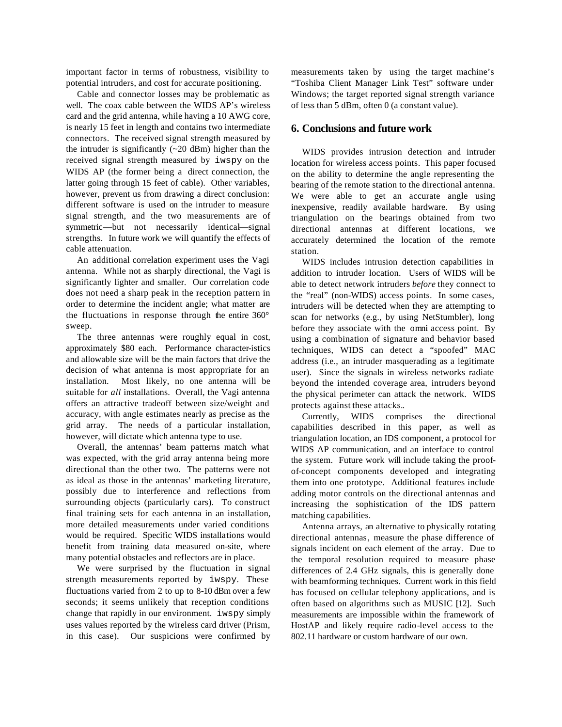important factor in terms of robustness, visibility to potential intruders, and cost for accurate positioning.

Cable and connector losses may be problematic as well. The coax cable between the WIDS AP's wireless card and the grid antenna, while having a 10 AWG core, is nearly 15 feet in length and contains two intermediate connectors. The received signal strength measured by the intruder is significantly  $(\sim 20$  dBm) higher than the received signal strength measured by iwspy on the WIDS AP (the former being a direct connection, the latter going through 15 feet of cable). Other variables, however, prevent us from drawing a direct conclusion: different software is used on the intruder to measure signal strength, and the two measurements are of symmetric—but not necessarily identical—signal strengths. In future work we will quantify the effects of cable attenuation.

An additional correlation experiment uses the Vagi antenna. While not as sharply directional, the Vagi is significantly lighter and smaller. Our correlation code does not need a sharp peak in the reception pattern in order to determine the incident angle; what matter are the fluctuations in response through the entire 360° sweep.

The three antennas were roughly equal in cost, approximately \$80 each. Performance character-istics and allowable size will be the main factors that drive the decision of what antenna is most appropriate for an installation. Most likely, no one antenna will be suitable for *all* installations. Overall, the Vagi antenna offers an attractive tradeoff between size/weight and accuracy, with angle estimates nearly as precise as the grid array. The needs of a particular installation, however, will dictate which antenna type to use.

Overall, the antennas' beam patterns match what was expected, with the grid array antenna being more directional than the other two. The patterns were not as ideal as those in the antennas' marketing literature, possibly due to interference and reflections from surrounding objects (particularly cars). To construct final training sets for each antenna in an installation, more detailed measurements under varied conditions would be required. Specific WIDS installations would benefit from training data measured on-site, where many potential obstacles and reflectors are in place.

We were surprised by the fluctuation in signal strength measurements reported by iwspy. These fluctuations varied from 2 to up to 8-10 dBm over a few seconds; it seems unlikely that reception conditions change that rapidly in our environment. iwspy simply uses values reported by the wireless card driver (Prism, in this case). Our suspicions were confirmed by

measurements taken by using the target machine's "Toshiba Client Manager Link Test" software under Windows; the target reported signal strength variance of less than 5 dBm, often 0 (a constant value).

#### **6. Conclusions and future work**

WIDS provides intrusion detection and intruder location for wireless access points. This paper focused on the ability to determine the angle representing the bearing of the remote station to the directional antenna. We were able to get an accurate angle using inexpensive, readily available hardware. By using triangulation on the bearings obtained from two directional antennas at different locations, we accurately determined the location of the remote station.

WIDS includes intrusion detection capabilities in addition to intruder location. Users of WIDS will be able to detect network intruders *before* they connect to the "real" (non-WIDS) access points. In some cases, intruders will be detected when they are attempting to scan for networks (e.g., by using NetStumbler), long before they associate with the omni access point. By using a combination of signature and behavior based techniques, WIDS can detect a "spoofed" MAC address (i.e., an intruder masquerading as a legitimate user). Since the signals in wireless networks radiate beyond the intended coverage area, intruders beyond the physical perimeter can attack the network. WIDS protects against these attacks..

Currently, WIDS comprises the directional capabilities described in this paper, as well as triangulation location, an IDS component, a protocol for WIDS AP communication, and an interface to control the system. Future work will include taking the proofof-concept components developed and integrating them into one prototype. Additional features include adding motor controls on the directional antennas and increasing the sophistication of the IDS pattern matching capabilities.

Antenna arrays, an alternative to physically rotating directional antennas, measure the phase difference of signals incident on each element of the array. Due to the temporal resolution required to measure phase differences of 2.4 GHz signals, this is generally done with beamforming techniques. Current work in this field has focused on cellular telephony applications, and is often based on algorithms such as MUSIC [12]. Such measurements are impossible within the framework of HostAP and likely require radio-level access to the 802.11 hardware or custom hardware of our own.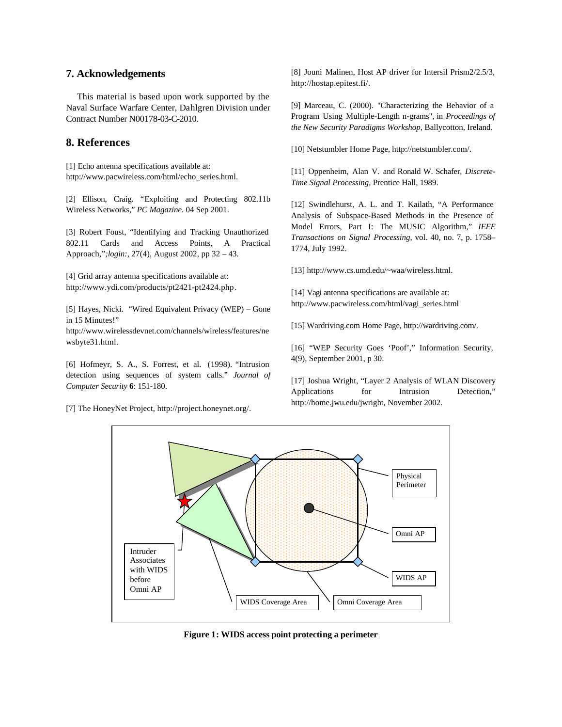## **7. Acknowledgements**

This material is based upon work supported by the Naval Surface Warfare Center, Dahlgren Division under Contract Number N00178-03-C-2010.

# **8. References**

[1] Echo antenna specifications available at: http://www.pacwireless.com/html/echo\_series.html.

[2] Ellison, Craig. "Exploiting and Protecting 802.11b Wireless Networks," *PC Magazine*. 04 Sep 2001.

[3] Robert Foust, "Identifying and Tracking Unauthorized 802.11 Cards and Access Points, A Practical Approach,"*;login:*, 27(4), August 2002, pp 32 – 43.

[4] Grid array antenna specifications available at: http://www.ydi.com/products/pt2421-pt2424.php.

[5] Hayes, Nicki. "Wired Equivalent Privacy (WEP) – Gone in 15 Minutes!"

http://www.wirelessdevnet.com/channels/wireless/features/ne wsbyte31.html.

[6] Hofmeyr, S. A., S. Forrest, et al. (1998). "Intrusion detection using sequences of system calls." *Journal of Computer Security* **6**: 151-180.

[7] The HoneyNet Project, http://project.honeynet.org/.

[8] Jouni Malinen, Host AP driver for Intersil Prism2/2.5/3, http://hostap.epitest.fi/.

[9] Marceau, C. (2000). "Characterizing the Behavior of a Program Using Multiple-Length n-grams", in *Proceedings of the New Security Paradigms Workshop*, Ballycotton, Ireland.

[10] Netstumbler Home Page, http://netstumbler.com/.

[11] Oppenheim, Alan V. and Ronald W. Schafer, *Discrete-Time Signal Processing*, Prentice Hall, 1989.

[12] Swindlehurst, A. L. and T. Kailath, "A Performance Analysis of Subspace-Based Methods in the Presence of Model Errors, Part I: The MUSIC Algorithm," *IEEE Transactions on Signal Processing*, vol. 40, no. 7, p. 1758– 1774, July 1992.

[13] http://www.cs.umd.edu/~waa/wireless.html.

[14] Vagi antenna specifications are available at: http://www.pacwireless.com/html/vagi\_series.html

[15] Wardriving.com Home Page, http://wardriving.com/.

[16] "WEP Security Goes 'Poof'," Information Security, 4(9), September 2001, p 30.

[17] Joshua Wright, "Layer 2 Analysis of WLAN Discovery Applications for Intrusion Detection," http://home.jwu.edu/jwright, November 2002.



**Figure 1: WIDS access point protecting a perimeter**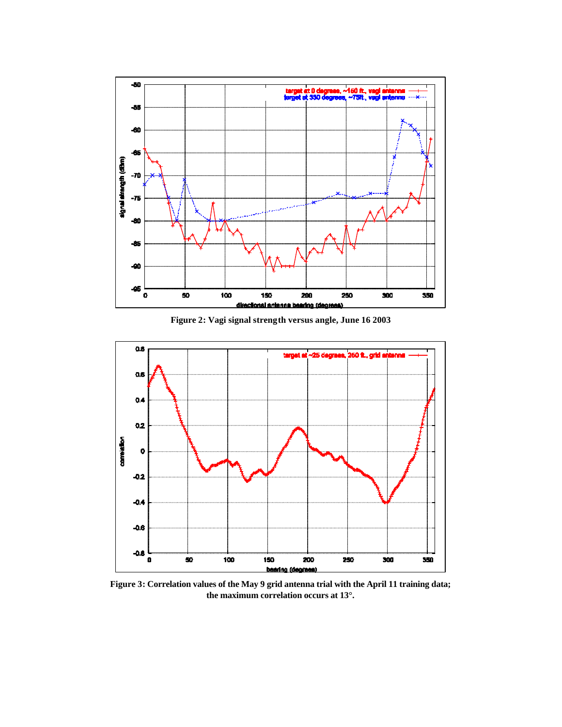

**Figure 2: Vagi signal strength versus angle, June 16 2003**



**Figure 3: Correlation values of the May 9 grid antenna trial with the April 11 training data; the maximum correlation occurs at 13°.**